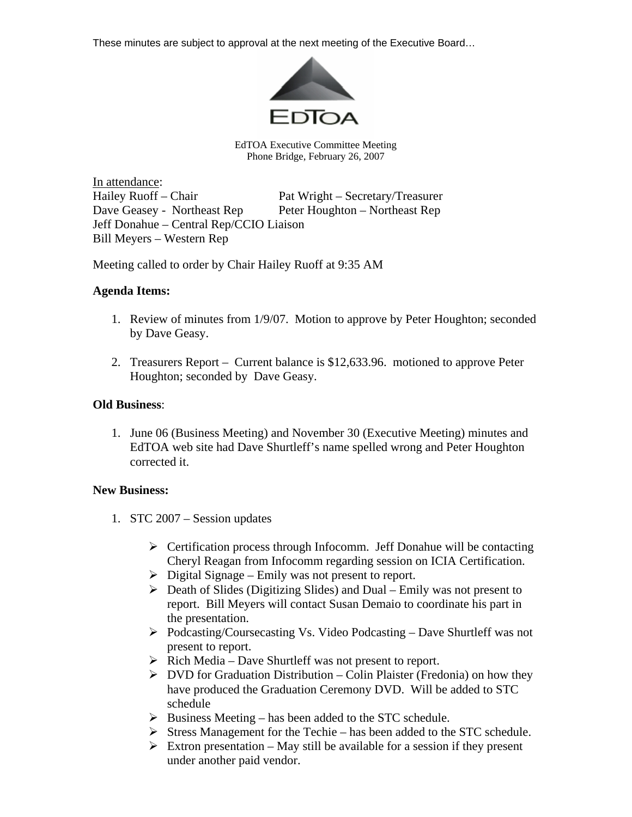These minutes are subject to approval at the next meeting of the Executive Board…



EdTOA Executive Committee Meeting Phone Bridge, February 26, 2007

In attendance: Hailey Ruoff – Chair Pat Wright – Secretary/Treasurer Dave Geasey - Northeast Rep Peter Houghton – Northeast Rep Jeff Donahue – Central Rep/CCIO Liaison Bill Meyers – Western Rep

Meeting called to order by Chair Hailey Ruoff at 9:35 AM

## **Agenda Items:**

- 1. Review of minutes from 1/9/07. Motion to approve by Peter Houghton; seconded by Dave Geasy.
- 2. Treasurers Report Current balance is \$12,633.96. motioned to approve Peter Houghton; seconded by Dave Geasy.

## **Old Business**:

1. June 06 (Business Meeting) and November 30 (Executive Meeting) minutes and EdTOA web site had Dave Shurtleff's name spelled wrong and Peter Houghton corrected it.

## **New Business:**

- 1. STC 2007 Session updates
	- $\triangleright$  Certification process through Infocomm. Jeff Donahue will be contacting Cheryl Reagan from Infocomm regarding session on ICIA Certification.
	- $\triangleright$  Digital Signage Emily was not present to report.
	- $\triangleright$  Death of Slides (Digitizing Slides) and Dual Emily was not present to report. Bill Meyers will contact Susan Demaio to coordinate his part in the presentation.
	- ¾ Podcasting/Coursecasting Vs. Video Podcasting Dave Shurtleff was not present to report.
	- $\triangleright$  Rich Media Dave Shurtleff was not present to report.
	- $\triangleright$  DVD for Graduation Distribution Colin Plaister (Fredonia) on how they have produced the Graduation Ceremony DVD. Will be added to STC schedule
	- $\triangleright$  Business Meeting has been added to the STC schedule.
	- $\triangleright$  Stress Management for the Techie has been added to the STC schedule.
	- $\triangleright$  Extron presentation May still be available for a session if they present under another paid vendor.